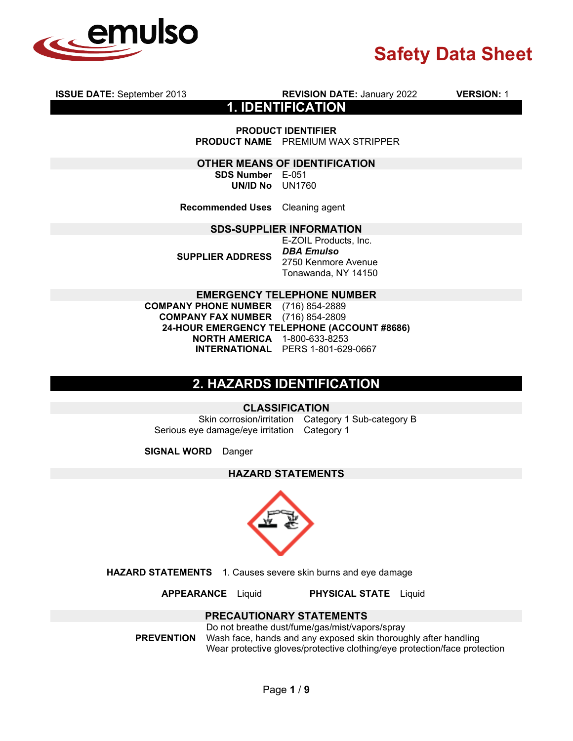

**1. IDENTIFICATION PRODUCT IDENTIFIER PRODUCT NAME** PREMIUM WAX STRIPPER **OTHER MEANS OF IDENTIFICATION SDS Number** E-051 **UN/ID No** UN1760 **Recommended Uses** Cleaning agent **SDS-SUPPLIER INFORMATION SUPPLIER ADDRESS** E-ZOIL Products, Inc. *DBA Emulso*  2750 Kenmore Avenue Tonawanda, NY 14150 **EMERGENCY TELEPHONE NUMBER COMPANY PHONE NUMBER** (716) 854-2889 **COMPANY FAX NUMBER** (716) 854-2809 **24-HOUR EMERGENCY TELEPHONE (ACCOUNT #8686) NORTH AMERICA** 1-800-633-8253 **INTERNATIONAL** PERS 1-801-629-0667

**ISSUE DATE:** September 2013 **REVISION DATE:** January 2022 **VERSION:** 1

## **2. HAZARDS IDENTIFICATION**

#### **CLASSIFICATION**

Skin corrosion/irritation Category 1 Sub-category B Serious eye damage/eye irritation Category 1

**SIGNAL WORD** Danger

### **HAZARD STATEMENTS**



**HAZARD STATEMENTS** 1. Causes severe skin burns and eye damage

**APPEARANCE** Liquid **PHYSICAL STATE** Liquid

### **PRECAUTIONARY STATEMENTS**

**PREVENTION**

Do not breathe dust/fume/gas/mist/vapors/spray Wash face, hands and any exposed skin thoroughly after handling Wear protective gloves/protective clothing/eye protection/face protection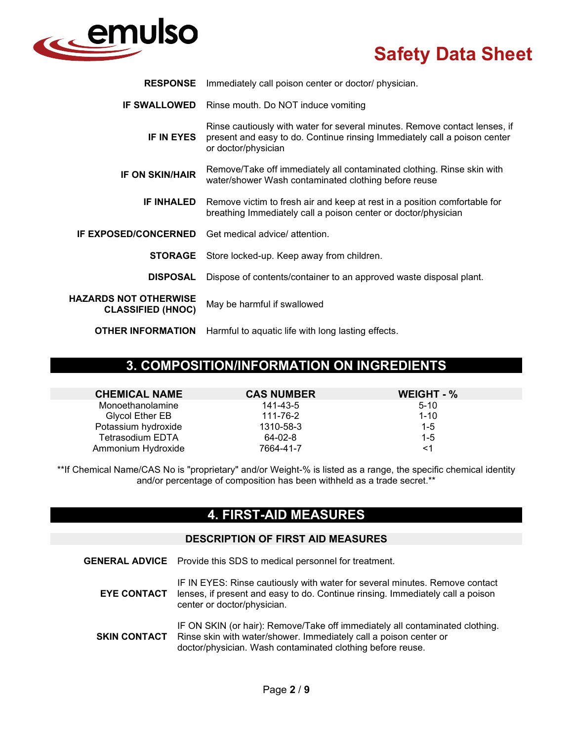

| <b>RESPONSE</b>                                          | Immediately call poison center or doctor/ physician.                                                                                                                           |  |
|----------------------------------------------------------|--------------------------------------------------------------------------------------------------------------------------------------------------------------------------------|--|
|                                                          | <b>IF SWALLOWED</b> Rinse mouth. Do NOT induce vomiting                                                                                                                        |  |
| <b>IF IN EYES</b>                                        | Rinse cautiously with water for several minutes. Remove contact lenses, if<br>present and easy to do. Continue rinsing Immediately call a poison center<br>or doctor/physician |  |
| <b>IF ON SKIN/HAIR</b>                                   | Remove/Take off immediately all contaminated clothing. Rinse skin with<br>water/shower Wash contaminated clothing before reuse                                                 |  |
| <b>IF INHALED</b>                                        | Remove victim to fresh air and keep at rest in a position comfortable for<br>breathing Immediately call a poison center or doctor/physician                                    |  |
| <b>IF EXPOSED/CONCERNED</b>                              | Get medical advice/ attention.                                                                                                                                                 |  |
| <b>STORAGE</b>                                           | Store locked-up. Keep away from children.                                                                                                                                      |  |
| <b>DISPOSAL</b>                                          | Dispose of contents/container to an approved waste disposal plant.                                                                                                             |  |
| <b>HAZARDS NOT OTHERWISE</b><br><b>CLASSIFIED (HNOC)</b> | May be harmful if swallowed                                                                                                                                                    |  |
| <b>OTHER INFORMATION</b>                                 | Harmful to aquatic life with long lasting effects.                                                                                                                             |  |

## **3. COMPOSITION/INFORMATION ON INGREDIENTS**

| <b>CHEMICAL NAME</b>    | <b>CAS NUMBER</b> | WEIGHT - % |
|-------------------------|-------------------|------------|
| Monoethanolamine        | 141-43-5          | $5-10$     |
| Glycol Ether EB         | 111-76-2          | $1 - 10$   |
| Potassium hydroxide     | 1310-58-3         | $1 - 5$    |
| <b>Tetrasodium EDTA</b> | 64-02-8           | $1 - 5$    |
| Ammonium Hydroxide      | 7664-41-7         | <1         |

\*\*If Chemical Name/CAS No is "proprietary" and/or Weight-% is listed as a range, the specific chemical identity and/or percentage of composition has been withheld as a trade secret.\*\*

## **4. FIRST-AID MEASURES**

#### **DESCRIPTION OF FIRST AID MEASURES**

**GENERAL ADVICE** Provide this SDS to medical personnel for treatment.

**EYE CONTACT** IF IN EYES: Rinse cautiously with water for several minutes. Remove contact lenses, if present and easy to do. Continue rinsing. Immediately call a poison center or doctor/physician.

**SKIN CONTACT** IF ON SKIN (or hair): Remove/Take off immediately all contaminated clothing. Rinse skin with water/shower. Immediately call a poison center or doctor/physician. Wash contaminated clothing before reuse.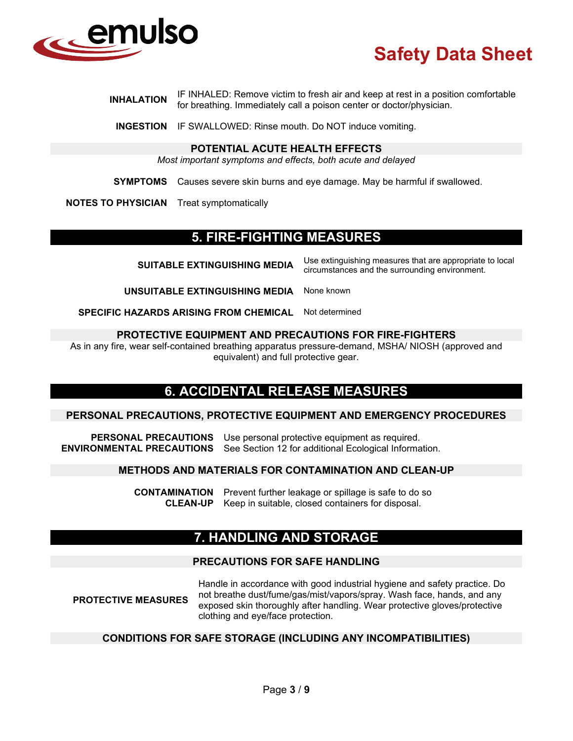

**INHALATION** IF INHALED: Remove victim to fresh air and keep at rest in a position comfortable for breathing. Immediately call a poison center or doctor/physician.

**INGESTION** IF SWALLOWED: Rinse mouth. Do NOT induce vomiting.

#### **POTENTIAL ACUTE HEALTH EFFECTS**

*Most important symptoms and effects, both acute and delayed*

**SYMPTOMS** Causes severe skin burns and eye damage. May be harmful if swallowed.

**NOTES TO PHYSICIAN** Treat symptomatically

## **5. FIRE-FIGHTING MEASURES**

**SUITABLE EXTINGUISHING MEDIA** Use extinguishing measures that are appropriate to local circumstances and the surrounding environment.

**UNSUITABLE EXTINGUISHING MEDIA** None known

**SPECIFIC HAZARDS ARISING FROM CHEMICAL** Not determined

#### **PROTECTIVE EQUIPMENT AND PRECAUTIONS FOR FIRE-FIGHTERS**

As in any fire, wear self-contained breathing apparatus pressure-demand, MSHA/ NIOSH (approved and equivalent) and full protective gear.

## **6. ACCIDENTAL RELEASE MEASURES**

#### **PERSONAL PRECAUTIONS, PROTECTIVE EQUIPMENT AND EMERGENCY PROCEDURES**

**PERSONAL PRECAUTIONS** Use personal protective equipment as required. **ENVIRONMENTAL PRECAUTIONS** See Section 12 for additional Ecological Information.

#### **METHODS AND MATERIALS FOR CONTAMINATION AND CLEAN-UP**

**CONTAMINATION** Prevent further leakage or spillage is safe to do so **CLEAN-UP** Keep in suitable, closed containers for disposal.

## **7. HANDLING AND STORAGE**

#### **PRECAUTIONS FOR SAFE HANDLING**

**PROTECTIVE MEASURES** Handle in accordance with good industrial hygiene and safety practice. Do not breathe dust/fume/gas/mist/vapors/spray. Wash face, hands, and any exposed skin thoroughly after handling. Wear protective gloves/protective clothing and eye/face protection.

#### **CONDITIONS FOR SAFE STORAGE (INCLUDING ANY INCOMPATIBILITIES)**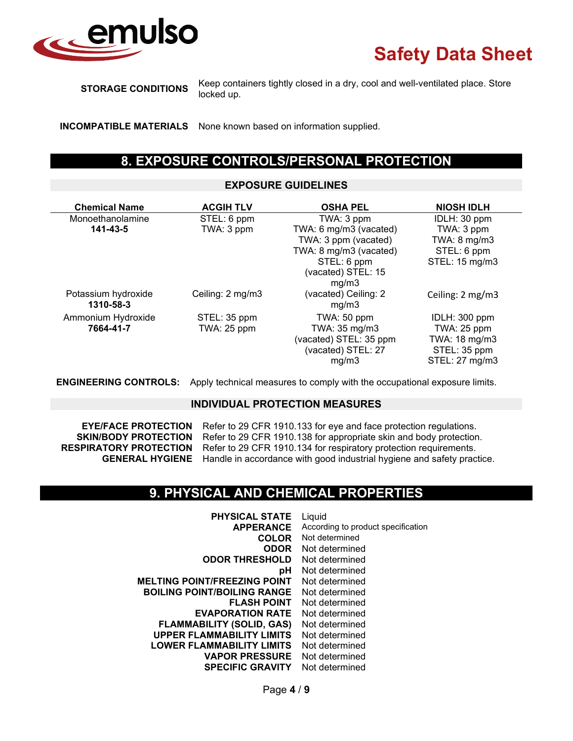

**STORAGE CONDITIONS** Keep containers tightly closed in a dry, cool and well-ventilated place. Store locked up.

**INCOMPATIBLE MATERIALS** None known based on information supplied.

## **8. EXPOSURE CONTROLS/PERSONAL PROTECTION**

#### **EXPOSURE GUIDELINES**

| <b>Chemical Name</b>             | <b>ACGIH TLV</b> | <b>OSHA PEL</b>               | <b>NIOSH IDLH</b> |
|----------------------------------|------------------|-------------------------------|-------------------|
| Monoethanolamine                 | STEL: 6 ppm      | TWA: 3 ppm                    | IDLH: 30 ppm      |
| 141-43-5                         | TWA: 3 ppm       | TWA: 6 mg/m3 (vacated)        | TWA: 3 ppm        |
|                                  |                  | TWA: 3 ppm (vacated)          | TWA: 8 mg/m3      |
|                                  |                  | TWA: 8 mg/m3 (vacated)        | STEL: 6 ppm       |
|                                  |                  | STEL: 6 ppm                   | STEL: 15 mg/m3    |
|                                  |                  | (vacated) STEL: 15            |                   |
|                                  |                  | mq/m3                         |                   |
| Potassium hydroxide<br>1310-58-3 | Ceiling: 2 mg/m3 | (vacated) Ceiling: 2<br>mg/m3 | Ceiling: 2 mg/m3  |
| Ammonium Hydroxide               | STEL: 35 ppm     | TWA: 50 ppm                   | IDLH: 300 ppm     |
| 7664-41-7                        | TWA: 25 ppm      | TWA: 35 mg/m3                 | TWA: 25 ppm       |
|                                  |                  | (vacated) STEL: 35 ppm        | TWA: 18 mg/m3     |
|                                  |                  | (vacated) STEL: 27            | STEL: 35 ppm      |
|                                  |                  | mg/m3                         | STEL: 27 mg/m3    |

**ENGINEERING CONTROLS:** Apply technical measures to comply with the occupational exposure limits.

#### **INDIVIDUAL PROTECTION MEASURES**

**EYE/FACE PROTECTION** Refer to 29 CFR 1910.133 for eye and face protection regulations. **SKIN/BODY PROTECTION** Refer to 29 CFR 1910.138 for appropriate skin and body protection.<br>**RESPIRATORY PROTECTION** Refer to 29 CFR 1910.134 for respiratory protection requirements. Refer to 29 CFR 1910.134 for respiratory protection requirements. **GENERAL HYGIENE** Handle in accordance with good industrial hygiene and safety practice.

### **9. PHYSICAL AND CHEMICAL PROPERTIES**

**PHYSICAL STATE** Liquid **APPERANCE** According to product specification **COLOR** Not determined<br>**ODOR** Not determine **ODOR** Not determined **ODOR THRESHOLD** Not determined **pH** Not determined<br>**INT** Not determined **MELTING POINT/FREEZING POINT BOILING POINT/BOILING RANGE** Not determined **FLASH POINT** Not determined **EVAPORATION RATE** Not determined **FLAMMABILITY (SOLID, GAS)** Not determined **UPPER FLAMMABILITY LIMITS** Not determined **LOWER FLAMMABILITY LIMITS** Not determined **VAPOR PRESSURE** Not determined **SPECIFIC GRAVITY** Not determined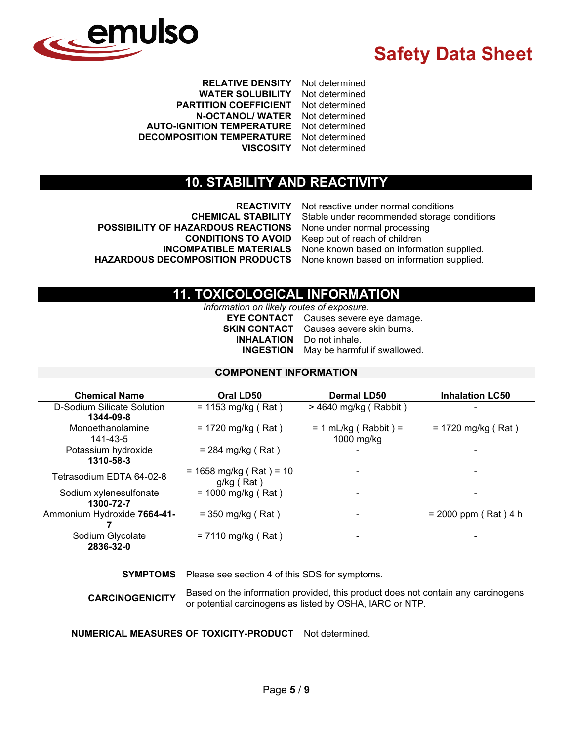

**RELATIVE DENSITY** Not determined **WATER SOLUBILITY PARTITION COEFFICIENT** Not determined **N-OCTANOL/ WATER** Not determined **AUTO-IGNITION TEMPERATURE** Not determined **DECOMPOSITION TEMPERATURE** Not determined **VISCOSITY** Not determined

### **10. STABILITY AND REACTIVITY**

**POSSIBILITY OF HAZARDOUS REACTIONS HAZARDOUS DECOMPOSITION PRODUCTS** None known based on information supplied.

**REACTIVITY** Not reactive under normal conditions<br>**CHEMICAL STABILITY** Stable under recommended storage Stable under recommended storage conditions<br>None under normal processing **CONDITIONS TO AVOID** Keep out of reach of children **INCOMPATIBLE MATERIALS** None known based on information supplied.

## **11. TOXICOLOGICAL INFORMATION**

*Information on likely routes of exposure.* **EYE CONTACT** Causes severe eye damage. **SKIN CONTACT** Causes severe skin burns. **INHALATION** Do not inhale. **INGESTION** May be harmful if swallowed.

#### **COMPONENT INFORMATION**

| <b>Chemical Name</b>        | Oral LD50                 | <b>Dermal LD50</b>       | <b>Inhalation LC50</b> |
|-----------------------------|---------------------------|--------------------------|------------------------|
| D-Sodium Silicate Solution  | $= 1153$ mg/kg (Rat)      | $>$ 4640 mg/kg (Rabbit)  |                        |
| 1344-09-8                   |                           |                          |                        |
| Monoethanolamine            | $= 1720$ mg/kg (Rat)      | $= 1$ mL/kg (Rabbit) =   | $= 1720$ mg/kg (Rat)   |
| 141-43-5                    |                           | 1000 mg/kg               |                        |
| Potassium hydroxide         | $= 284$ mg/kg (Rat)       | $\blacksquare$           |                        |
| 1310-58-3                   |                           |                          |                        |
| Tetrasodium EDTA 64-02-8    | $= 1658$ mg/kg (Rat) = 10 | $\blacksquare$           |                        |
|                             | g/kg (Rat)                |                          |                        |
| Sodium xylenesulfonate      | $= 1000$ mg/kg (Rat)      | $\overline{\phantom{a}}$ |                        |
| 1300-72-7                   |                           |                          |                        |
| Ammonium Hydroxide 7664-41- | $=$ 350 mg/kg (Rat)       | -                        | $= 2000$ ppm (Rat) 4 h |
|                             |                           |                          |                        |
| Sodium Glycolate            | $= 7110$ mg/kg (Rat)      | $\blacksquare$           |                        |
| 2836-32-0                   |                           |                          |                        |

**SYMPTOMS** Please see section 4 of this SDS for symptoms.

**CARCINOGENICITY** Based on the information provided, this product does not contain any carcinogens or potential carcinogens as listed by OSHA, IARC or NTP.

**NUMERICAL MEASURES OF TOXICITY-PRODUCT** Not determined.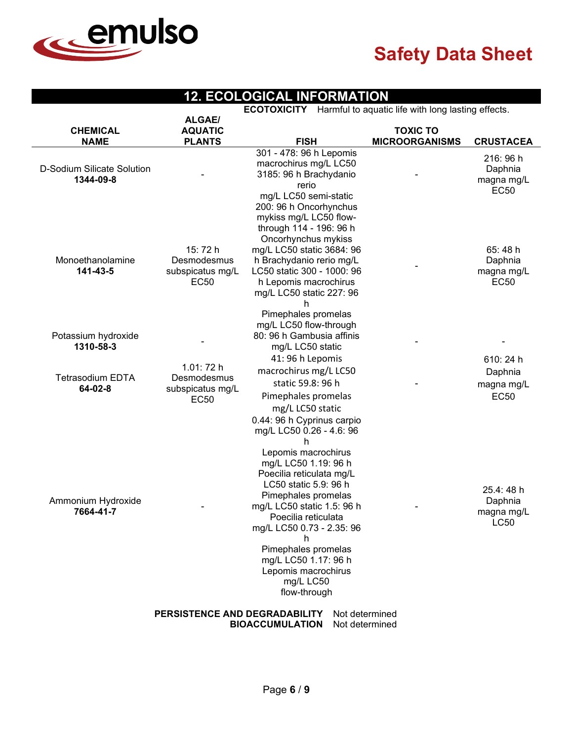

## **12. ECOLOGICAL INFORMATION**

**ECOTOXICITY** Harmful to aquatic life with long lasting effects.

|                                         | <b>ALGAE/</b>                                         |                                                                                                                                                                                                                                                                                                                                                                                                      |                                          |                                                  |
|-----------------------------------------|-------------------------------------------------------|------------------------------------------------------------------------------------------------------------------------------------------------------------------------------------------------------------------------------------------------------------------------------------------------------------------------------------------------------------------------------------------------------|------------------------------------------|--------------------------------------------------|
| <b>CHEMICAL</b><br><b>NAME</b>          | <b>AQUATIC</b><br><b>PLANTS</b>                       | <b>FISH</b>                                                                                                                                                                                                                                                                                                                                                                                          | <b>TOXIC TO</b><br><b>MICROORGANISMS</b> | <b>CRUSTACEA</b>                                 |
| D-Sodium Silicate Solution<br>1344-09-8 |                                                       | 301 - 478: 96 h Lepomis<br>macrochirus mg/L LC50<br>3185: 96 h Brachydanio<br>rerio<br>mg/L LC50 semi-static                                                                                                                                                                                                                                                                                         |                                          | 216:96 h<br>Daphnia<br>magna mg/L<br><b>EC50</b> |
| Monoethanolamine<br>141-43-5            | 15:72 h<br>Desmodesmus<br>subspicatus mg/L<br>EC50    | 200: 96 h Oncorhynchus<br>mykiss mg/L LC50 flow-<br>through 114 - 196: 96 h<br>Oncorhynchus mykiss<br>mg/L LC50 static 3684: 96<br>h Brachydanio rerio mg/L<br>LC50 static 300 - 1000: 96<br>h Lepomis macrochirus<br>mg/L LC50 static 227: 96<br>h                                                                                                                                                  |                                          | 65:48h<br>Daphnia<br>magna mg/L<br>EC50          |
| Potassium hydroxide<br>1310-58-3        |                                                       | Pimephales promelas<br>mg/L LC50 flow-through<br>80: 96 h Gambusia affinis<br>mg/L LC50 static<br>41: 96 h Lepomis                                                                                                                                                                                                                                                                                   |                                          | 610:24 h                                         |
| <b>Tetrasodium EDTA</b><br>64-02-8      | 1.01: 72 h<br>Desmodesmus<br>subspicatus mg/L<br>EC50 | macrochirus mg/L LC50<br>static 59.8: 96 h<br>Pimephales promelas                                                                                                                                                                                                                                                                                                                                    |                                          | Daphnia<br>magna mg/L<br><b>EC50</b>             |
| Ammonium Hydroxide<br>7664-41-7         |                                                       | mg/L LC50 static<br>0.44: 96 h Cyprinus carpio<br>mg/L LC50 0.26 - 4.6: 96<br>h<br>Lepomis macrochirus<br>mg/L LC50 1.19: 96 h<br>Poecilia reticulata mg/L<br>LC50 static 5.9: 96 h<br>Pimephales promelas<br>mg/L LC50 static 1.5: 96 h<br>Poecilia reticulata<br>mg/L LC50 0.73 - 2.35: 96<br>h<br>Pimephales promelas<br>mg/L LC50 1.17: 96 h<br>Lepomis macrochirus<br>mg/L LC50<br>flow-through |                                          | 25.4:48 h<br>Daphnia<br>magna mg/L<br>LC50       |
|                                         | PERSISTENCE AND DEGRADABILITY                         | Not determined<br><b>BIOACCUMULATION</b><br>Not determined                                                                                                                                                                                                                                                                                                                                           |                                          |                                                  |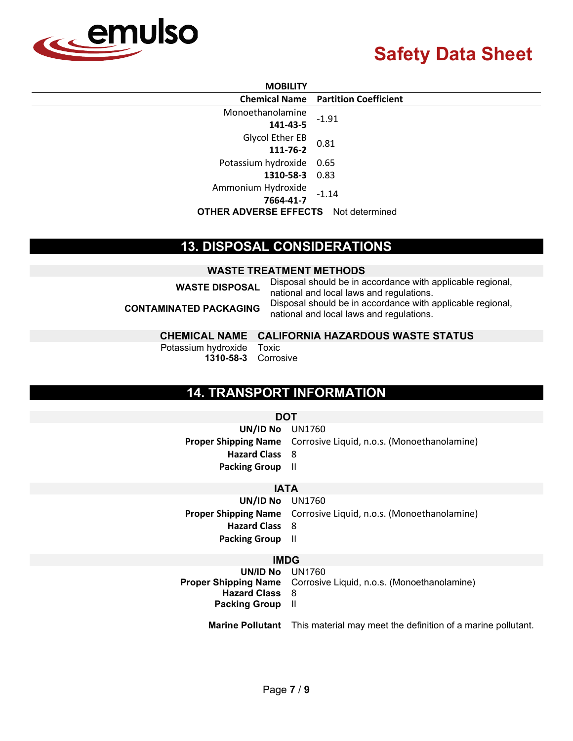

#### **MOBILITY**

|                                             | <b>Chemical Name Partition Coefficient</b> |
|---------------------------------------------|--------------------------------------------|
| Monoethanolamine                            | $-1.91$                                    |
| 141-43-5                                    |                                            |
| Glycol Ether EB                             |                                            |
| 111-76-2                                    | 0.81                                       |
| Potassium hydroxide 0.65                    |                                            |
| 1310-58-3 0.83                              |                                            |
| Ammonium Hydroxide                          |                                            |
| 7664-41-7                                   | $-1.14$                                    |
| <b>OTHER ADVERSE EFFECTS</b> Not determined |                                            |

### **13. DISPOSAL CONSIDERATIONS**

#### **WASTE TREATMENT METHODS**

| <b>WASTE DISPOSAL</b>         | Disposal should be in accordance with applicable regional,<br>national and local laws and regulations. |  |  |
|-------------------------------|--------------------------------------------------------------------------------------------------------|--|--|
| <b>CONTAMINATED PACKAGING</b> | Disposal should be in accordance with applicable regional,<br>national and local laws and regulations. |  |  |

#### **CHEMICAL NAME CALIFORNIA HAZARDOUS WASTE STATUS**

Potassium hydroxide Toxic **1310-58-3** Corrosive

# **14. TRANSPORT INFORMATION**

#### **DOT**

| UN/ID No UN1760         |                                                                         |
|-------------------------|-------------------------------------------------------------------------|
|                         | <b>Proper Shipping Name</b> Corrosive Liquid, n.o.s. (Monoethanolamine) |
| <b>Hazard Class</b> 8   |                                                                         |
| <b>Packing Group</b> II |                                                                         |

#### **IATA**

**UN/ID No** UN1760 **Proper Shipping Name** Corrosive Liquid, n.o.s. (Monoethanolamine) **Hazard Class** 8 **Packing Group** II

#### **IMDG**

| UNID NO UN1760<br><b>Hazard Class</b> 8<br><b>Packing Group</b> II | <b>Proper Shipping Name</b> Corrosive Liquid, n.o.s. (Monoethanolamine)              |
|--------------------------------------------------------------------|--------------------------------------------------------------------------------------|
|                                                                    | <b>Marine Pollutant</b> This material may meet the definition of a marine pollutant. |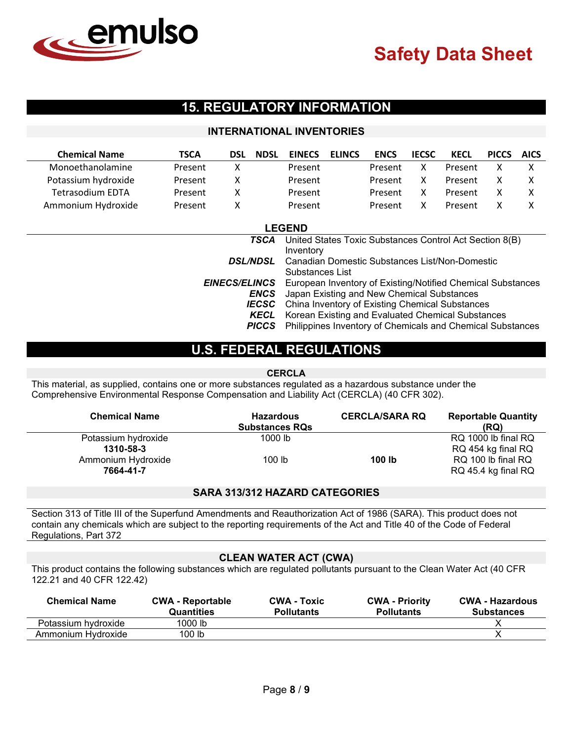

# **15. REGULATORY INFORMATION**

#### **INTERNATIONAL INVENTORIES**

| <b>Chemical Name</b>    | <b>TSCA</b> | <b>DSL</b> | <b>NDSL</b> | <b>EINECS</b> | <b>ELINCS</b> | <b>ENCS</b> | <b>IECSC</b> | <b>KECL</b> | <b>PICCS</b> | <b>AICS</b> |
|-------------------------|-------------|------------|-------------|---------------|---------------|-------------|--------------|-------------|--------------|-------------|
| Monoethanolamine        | Present     | x          |             | Present       |               | Present     |              | Present     |              |             |
| Potassium hydroxide     | Present     | x          |             | Present       |               | Present     |              | Present     |              |             |
| <b>Tetrasodium EDTA</b> | Present     | x          |             | Present       |               | Present     |              | Present     |              |             |
| Ammonium Hydroxide      | Present     | x          |             | Present       |               | Present     |              | Present     |              |             |

|                      | <b>LEGEND</b>                                                  |
|----------------------|----------------------------------------------------------------|
| TSCA                 | United States Toxic Substances Control Act Section 8(B)        |
|                      | Inventory                                                      |
|                      | <b>DSL/NDSL</b> Canadian Domestic Substances List/Non-Domestic |
|                      | Substances List                                                |
| <b>EINECS/ELINCS</b> | European Inventory of Existing/Notified Chemical Substances    |
| <b>ENCS</b>          | Japan Existing and New Chemical Substances                     |
|                      | <b>IECSC</b> China Inventory of Existing Chemical Substances   |
| KECL                 | Korean Existing and Evaluated Chemical Substances              |
| <b>PICCS</b>         | Philippines Inventory of Chemicals and Chemical Substances     |

## **U.S. FEDERAL REGULATIONS**

#### **CERCLA**

This material, as supplied, contains one or more substances regulated as a hazardous substance under the Comprehensive Environmental Response Compensation and Liability Act (CERCLA) (40 CFR 302).

| <b>Chemical Name</b>             | <b>Hazardous</b><br><b>Substances RQs</b> | <b>CERCLA/SARA RQ</b> | <b>Reportable Quantity</b><br>(RQ)        |
|----------------------------------|-------------------------------------------|-----------------------|-------------------------------------------|
| Potassium hydroxide<br>1310-58-3 | 1000 lb                                   |                       | RQ 1000 lb final RQ<br>RQ 454 kg final RQ |
| Ammonium Hydroxide<br>7664-41-7  | 100 lb                                    | 100 lb                | RQ 100 lb final RQ<br>RQ 45.4 kg final RQ |

#### **SARA 313/312 HAZARD CATEGORIES**

Section 313 of Title III of the Superfund Amendments and Reauthorization Act of 1986 (SARA). This product does not contain any chemicals which are subject to the reporting requirements of the Act and Title 40 of the Code of Federal Regulations, Part 372

#### **CLEAN WATER ACT (CWA)**

This product contains the following substances which are regulated pollutants pursuant to the Clean Water Act (40 CFR 122.21 and 40 CFR 122.42)

| <b>Chemical Name</b> | <b>CWA - Reportable</b><br><b>Quantities</b> | <b>CWA - Toxic</b><br><b>Pollutants</b> | <b>CWA - Priority</b><br><b>Pollutants</b> | <b>CWA - Hazardous</b><br><b>Substances</b> |
|----------------------|----------------------------------------------|-----------------------------------------|--------------------------------------------|---------------------------------------------|
| Potassium hydroxide  | 1000 lb                                      |                                         |                                            |                                             |
| Ammonium Hydroxide   | 100 lb                                       |                                         |                                            |                                             |